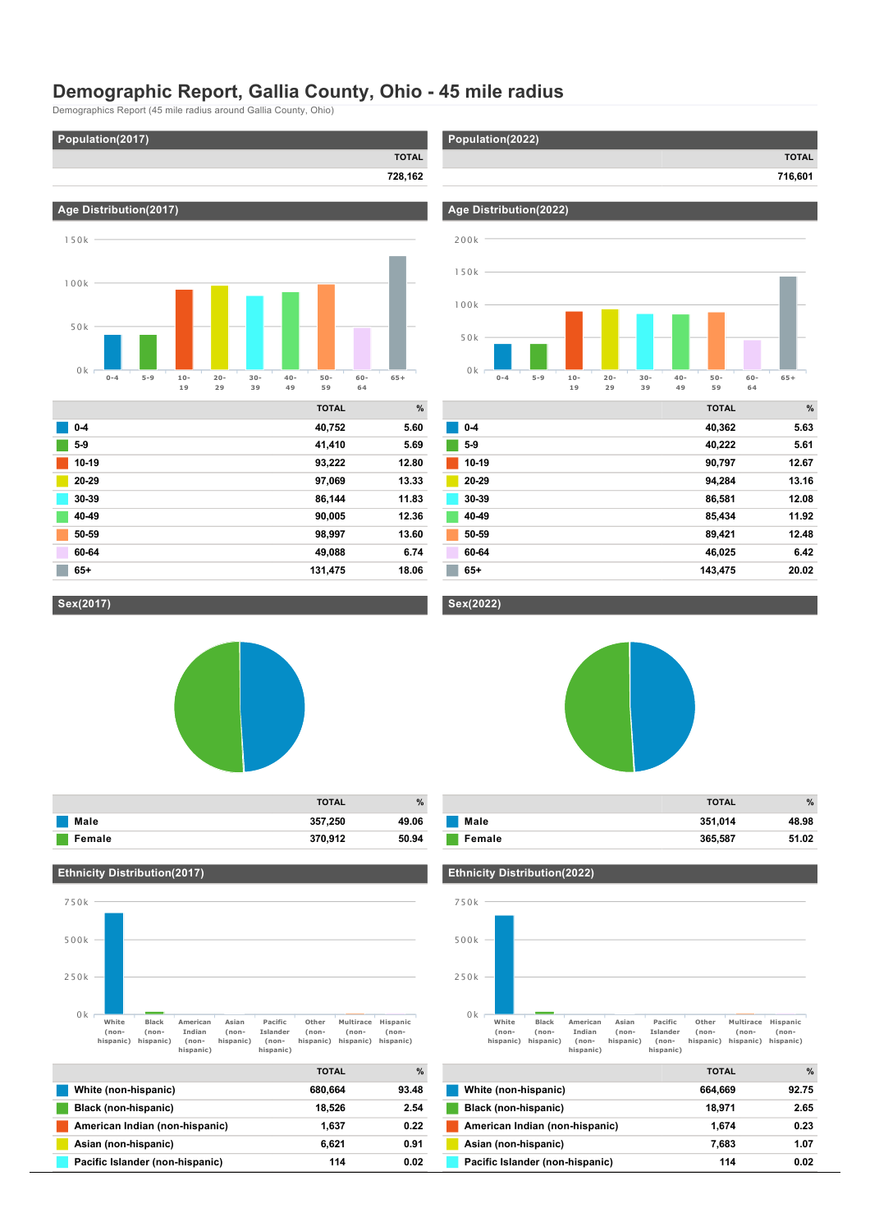## **Demographic Report, Gallia County, Ohio 45 mile radius**

Demographics Report (45 mile radius around Gallia County, Ohio)

**Age Distribution(2017)**



**Population(2022)**

**Age Distribution(2022)**



|       | <b>TOTAL</b> | $\%$  |
|-------|--------------|-------|
| $0-4$ | 40,752       | 5.60  |
| $5-9$ | 41,410       | 5.69  |
| 10-19 | 93,222       | 12.80 |
| 20-29 | 97,069       | 13.33 |
| 30-39 | 86,144       | 11.83 |
| 40-49 | 90,005       | 12.36 |
| 50-59 | 98,997       | 13.60 |
| 60-64 | 49,088       | 6.74  |
| $65+$ | 131,475      | 18.06 |
|       |              |       |



**TOTAL 716,601**

|       | <b>TOTAL</b> | %     |
|-------|--------------|-------|
| $0-4$ | 40,362       | 5.63  |
| $5-9$ | 40,222       | 5.61  |
| 10-19 | 90,797       | 12.67 |
| 20-29 | 94,284       | 13.16 |
| 30-39 | 86,581       | 12.08 |
| 40-49 | 85,434       | 11.92 |
| 50-59 | 89,421       | 12.48 |
| 60-64 | 46,025       | 6.42  |
| $65+$ | 143,475      | 20.02 |

#### **Sex(2017)**

50k



**Male 357,250 49.06 Female 370,912 50.94**

# **Sex(2022)**

**TOTAL %**



|        | <b>TOTAL</b> | %     |
|--------|--------------|-------|
| Male   | 351,014      | 48.98 |
| Female | 365,587      | 51.02 |

#### **Ethnicity Distribution(2017)**



|                                 | <b>TOTAL</b> | $\frac{9}{6}$ |
|---------------------------------|--------------|---------------|
| White (non-hispanic)            | 680.664      | 93.48         |
| Black (non-hispanic)            | 18.526       | 2.54          |
| American Indian (non-hispanic)  | 1.637        | 0.22          |
| Asian (non-hispanic)            | 6.621        | 0.91          |
| Pacific Islander (non-hispanic) | 114          | 0.02          |

#### **Ethnicity Distribution(2022)**



|                                 | <b>TOTAL</b> | $\%$  |
|---------------------------------|--------------|-------|
| White (non-hispanic)            | 664.669      | 92.75 |
| Black (non-hispanic)            | 18.971       | 2.65  |
| American Indian (non-hispanic)  | 1.674        | 0.23  |
| Asian (non-hispanic)            | 7.683        | 1.07  |
| Pacific Islander (non-hispanic) | 114          | 0.02  |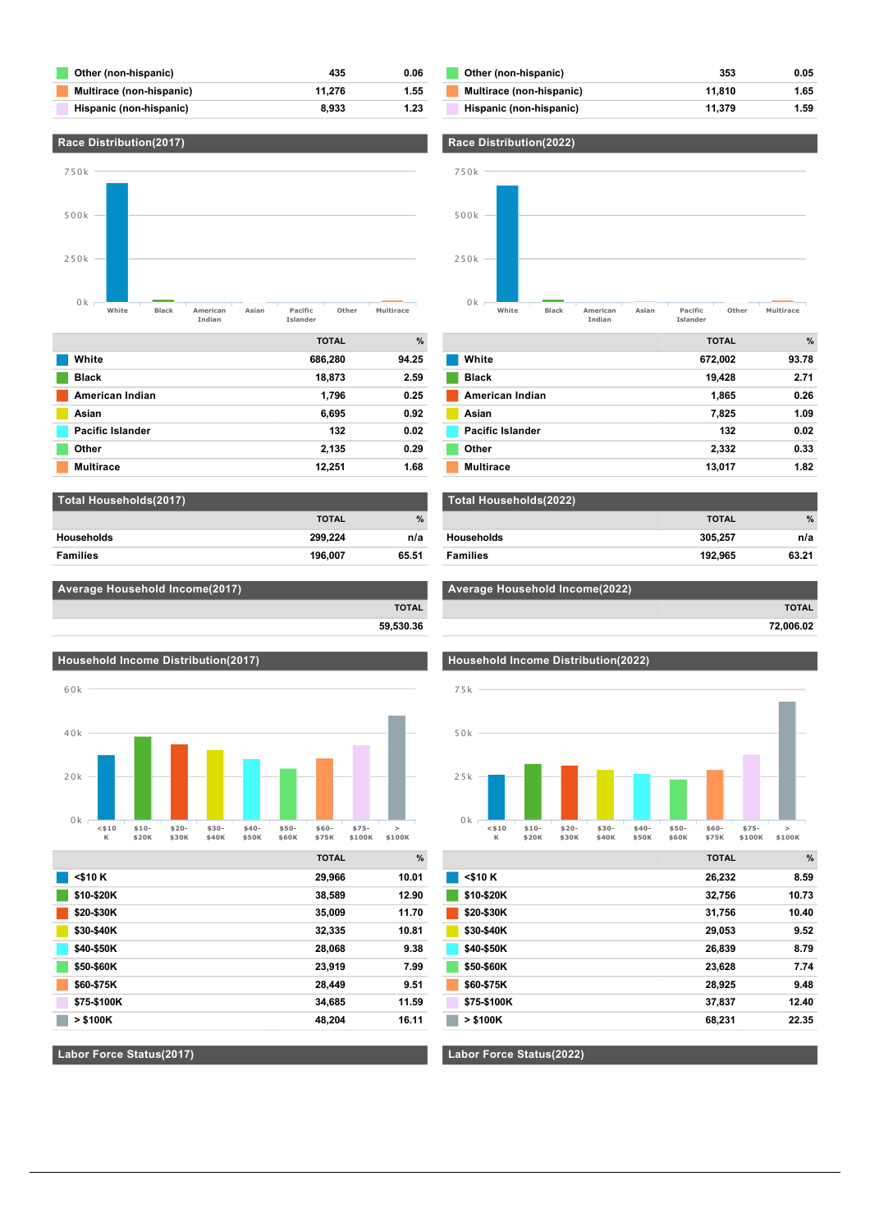| Other (non-hispanic)     | 435    | 0.06 |
|--------------------------|--------|------|
| Multirace (non-hispanic) | 11.276 | 1.55 |
| Hispanic (non-hispanic)  | 8.933  | 1.23 |



| White            | 686,280 | 94.25 |
|------------------|---------|-------|
| <b>Black</b>     | 18,873  | 2.59  |
| American Indian  | 1,796   | 0.25  |
| Asian            | 6,695   | 0.92  |
| Pacific Islander | 132     | 0.02  |
| Other            | 2,135   | 0.29  |
| <b>Multirace</b> | 12.251  | 1.68  |

| Total Households(2017) |              |               |
|------------------------|--------------|---------------|
|                        | <b>TOTAL</b> | $\frac{9}{6}$ |
| <b>Households</b>      | 299.224      | n/a           |
| <b>Families</b>        | 196.007      | 65.51         |

| Average Household Income(2017) |              |
|--------------------------------|--------------|
|                                | <b>TOTAL</b> |

**59,530.36**





|              | <b>TOTAL</b> | $\%$  |
|--------------|--------------|-------|
| $<$ \$10 $K$ | 29,966       | 10.01 |
| \$10-\$20K   | 38,589       | 12.90 |
| \$20-\$30K   | 35,009       | 11.70 |
| \$30-\$40K   | 32,335       | 10.81 |
| \$40-\$50K   | 28,068       | 9.38  |
| \$50-\$60K   | 23,919       | 7.99  |
| \$60-\$75K   | 28,449       | 9.51  |
| \$75-\$100K  | 34,685       | 11.59 |
| $>$ \$100K   | 48,204       | 16.11 |

#### **Labor Force Status(2017)**

| Other (non-hispanic)     | 353    | 0.05 |
|--------------------------|--------|------|
| Multirace (non-hispanic) | 11.810 | 1.65 |
| Hispanic (non-hispanic)  | 11.379 | 1.59 |





| Total Households(2022) |              |               |
|------------------------|--------------|---------------|
|                        | <b>TOTAL</b> | $\frac{9}{6}$ |
| Households             | 305.257      | n/a           |
| <b>Families</b>        | 192.965      | 63.21         |

#### **Average Household Income(2022)**

**TOTAL**







|             | <b>TOTAL</b> | $\%$  |
|-------------|--------------|-------|
| $<$ \$10 K  | 26,232       | 8.59  |
| \$10-\$20K  | 32,756       | 10.73 |
| \$20-\$30K  | 31,756       | 10.40 |
| \$30-\$40K  | 29,053       | 9.52  |
| \$40-\$50K  | 26,839       | 8.79  |
| \$50-\$60K  | 23,628       | 7.74  |
| \$60-\$75K  | 28,925       | 9.48  |
| \$75-\$100K | 37,837       | 12.40 |
| $>$ \$100K  | 68,231       | 22.35 |
|             |              |       |

#### **Labor Force Status(2022)**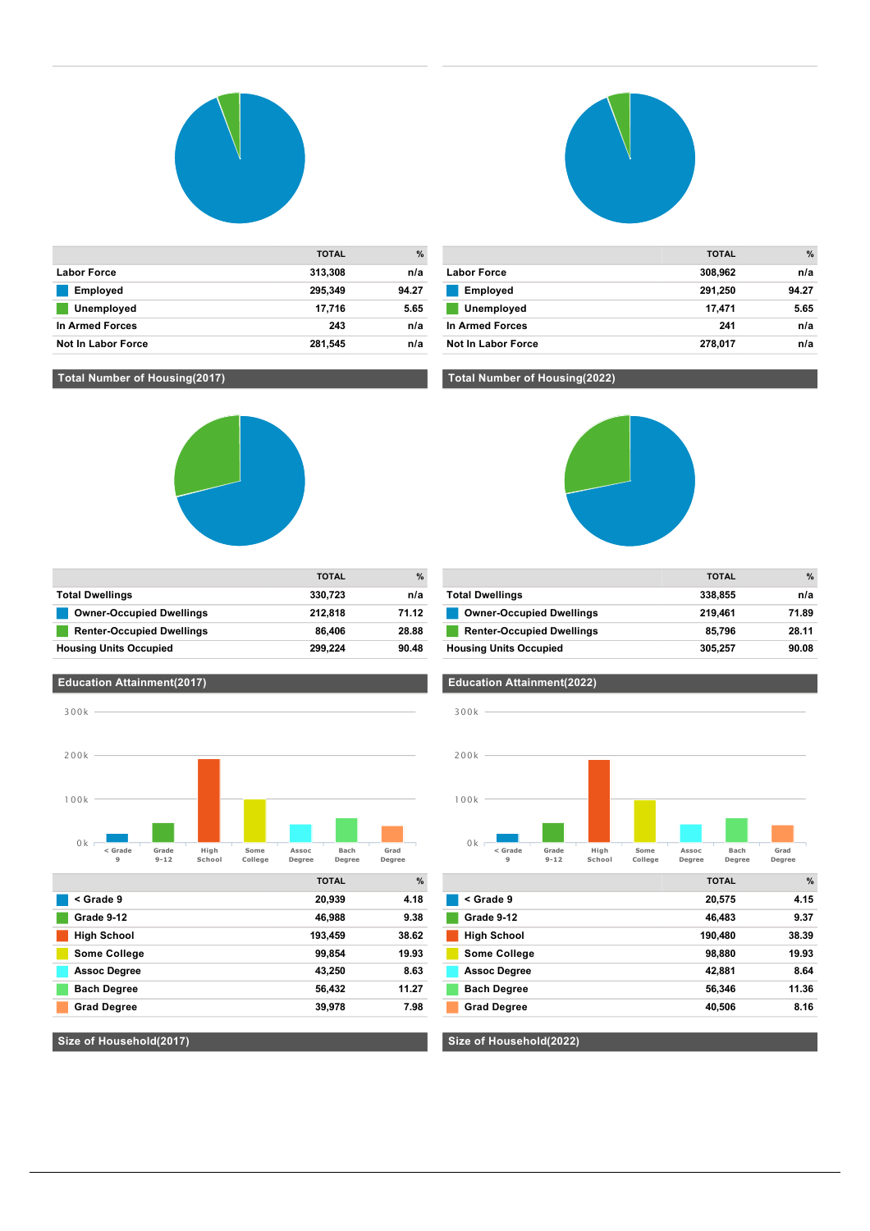

| <b>Not In Labor Force</b> | 281,545      | n/a   |
|---------------------------|--------------|-------|
| In Armed Forces           | 243          | n/a   |
| Unemployed                | 17.716       | 5.65  |
| <b>Employed</b>           | 295.349      | 94.27 |
| <b>Labor Force</b>        | 313,308      | n/a   |
|                           | <b>TOTAL</b> | %     |

### **TOTAL % Labor Force 308,962 n/a Employed 291,250 94.27 Unemployed 17,471 5.65 In Armed Forces 241 n/a Not In Labor Force 278,017 n/a**

#### **Total Number of Housing(2017)**

**Education Attainment(2017)**



**Total Dwellings 330,723 n/a Definition Controller Controller Setup Leap and Setup Leap 212,818 71.12** 

## **Total Number of Housing(2022)**



|                                  | <b>TOTAL</b> | $\%$  |
|----------------------------------|--------------|-------|
| <b>Total Dwellings</b>           | 338,855      | n/a   |
| <b>Owner-Occupied Dwellings</b>  | 219.461      | 71.89 |
| <b>Renter-Occupied Dwellings</b> | 85.796       | 28.11 |
| <b>Housing Units Occupied</b>    | 305.257      | 90.08 |



**Grad Degree 39,978 7.98**

**Size of Household(2017)**

#### **< Grade 9 Grade<br>9-12 High School Some College Assoc Degree Bach Degree Grad Degree**  $0k<sub>0</sub>$ 100k 200k 300k

|                     | <b>TOTAL</b> | $\%$  |
|---------------------|--------------|-------|
| < Grade 9           | 20,575       | 4.15  |
| Grade 9-12          | 46,483       | 9.37  |
| <b>High School</b>  | 190,480      | 38.39 |
| <b>Some College</b> | 98,880       | 19.93 |
| <b>Assoc Degree</b> | 42,881       | 8.64  |
| <b>Bach Degree</b>  | 56,346       | 11.36 |
| <b>Grad Degree</b>  | 40,506       | 8.16  |
|                     |              |       |

#### **Education Attainment(2022)**

**Size of Household(2022)**

| 100k |  |  |
|------|--|--|
|      |  |  |
|      |  |  |

| 200k |  |  |  |
|------|--|--|--|
|      |  |  |  |
|      |  |  |  |
|      |  |  |  |

| 200k |  |  |
|------|--|--|

| <b>Renter-Occupied Dwellings</b>  | 86.406  | 28.88 | <b>Renter-Occupied Dwelling</b>  |
|-----------------------------------|---------|-------|----------------------------------|
| <b>Housing Units Occupied</b>     | 299.224 | 90.48 | <b>Housing Units Occupied</b>    |
|                                   |         |       |                                  |
| <b>Education Attainment(2017)</b> |         |       | <b>Education Attainment(2022</b> |

**TOTAL %**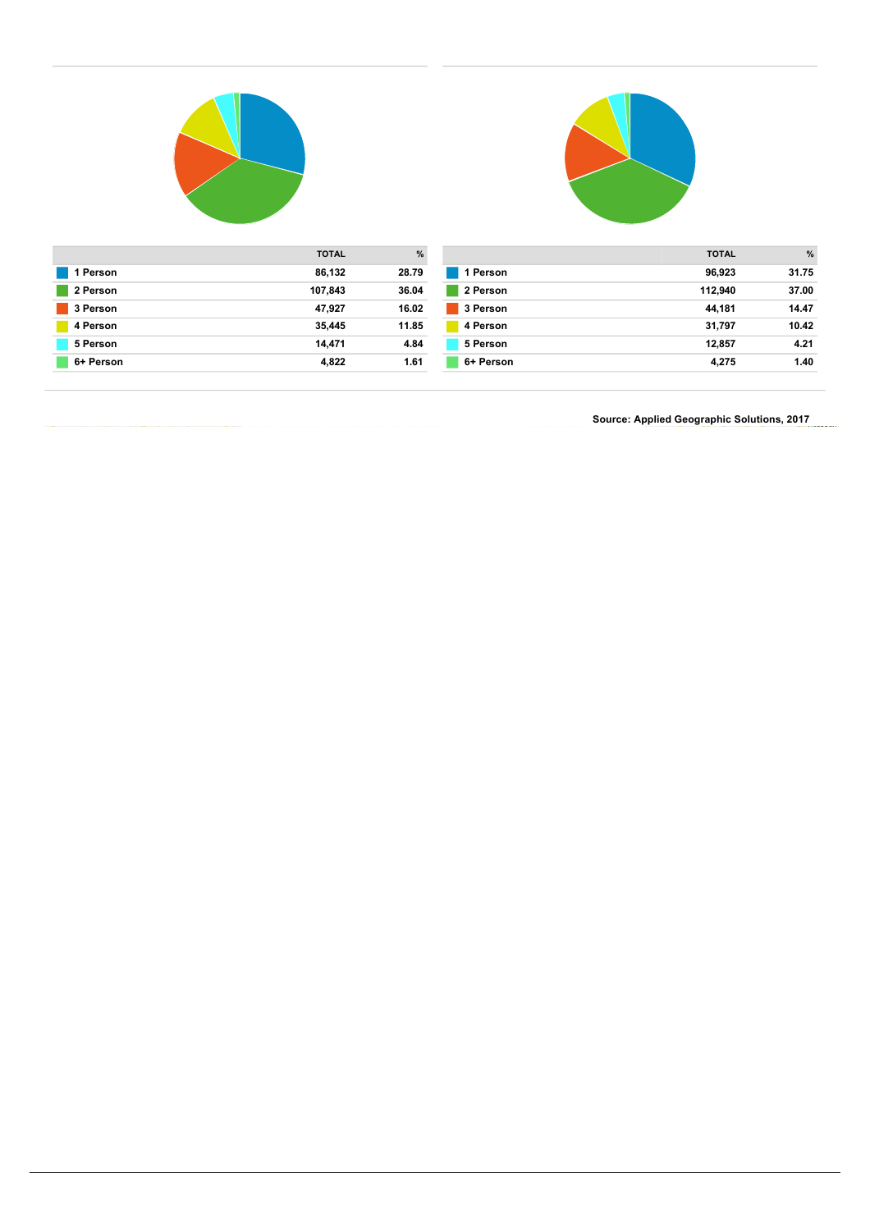



| <b>TOTAL</b>        | %     |           | <b>TOTAL</b> | $\%$  |
|---------------------|-------|-----------|--------------|-------|
| 1 Person<br>86,132  | 28.79 | 1 Person  | 96,923       | 31.75 |
| 2 Person<br>107,843 | 36.04 | 2 Person  | 112.940      | 37.00 |
| 3 Person<br>47,927  | 16.02 | 3 Person  | 44.181       | 14.47 |
| 4 Person<br>35,445  | 11.85 | 4 Person  | 31.797       | 10.42 |
| 5 Person<br>14.471  | 4.84  | 5 Person  | 12,857       | 4.21  |
| 6+ Person<br>4,822  | 1.61  | 6+ Person | 4,275        | 1.40  |

**Source: Applied Geographic Solutions, 2017**